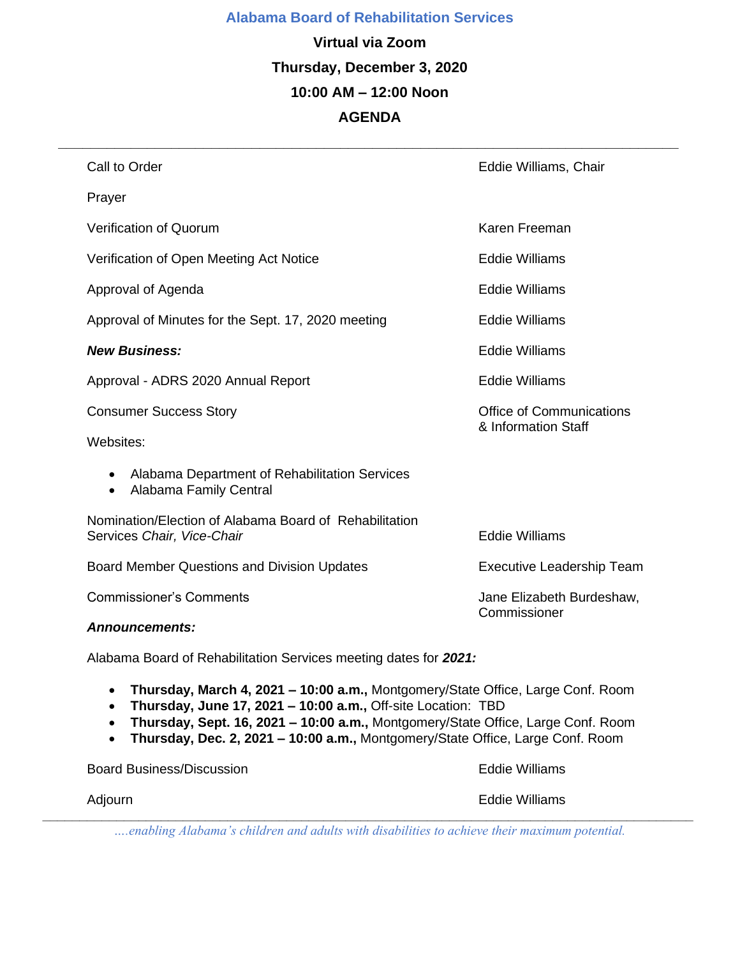### **Alabama Board of Rehabilitation Services**

**Virtual via Zoom Thursday, December 3, 2020 10:00 AM – 12:00 Noon AGENDA** 

|  | Call to Order                                                                        | Eddie Williams, Chair                                  |
|--|--------------------------------------------------------------------------------------|--------------------------------------------------------|
|  | Prayer                                                                               |                                                        |
|  | <b>Verification of Quorum</b>                                                        | Karen Freeman                                          |
|  | Verification of Open Meeting Act Notice                                              | <b>Eddie Williams</b>                                  |
|  | Approval of Agenda                                                                   | <b>Eddie Williams</b>                                  |
|  | Approval of Minutes for the Sept. 17, 2020 meeting                                   | <b>Eddie Williams</b>                                  |
|  | <b>New Business:</b>                                                                 | <b>Eddie Williams</b>                                  |
|  | Approval - ADRS 2020 Annual Report                                                   | <b>Eddie Williams</b>                                  |
|  | <b>Consumer Success Story</b>                                                        | <b>Office of Communications</b><br>& Information Staff |
|  | Websites:                                                                            |                                                        |
|  | Alabama Department of Rehabilitation Services<br>٠<br>Alabama Family Central<br>٠    |                                                        |
|  | Nomination/Election of Alabama Board of Rehabilitation<br>Services Chair, Vice-Chair | <b>Eddie Williams</b>                                  |
|  | Board Member Questions and Division Updates                                          | <b>Executive Leadership Team</b>                       |
|  | <b>Commissioner's Comments</b>                                                       | Jane Elizabeth Burdeshaw,<br>Commissioner              |
|  | <b>Announcements:</b>                                                                |                                                        |
|  | Alabama Board of Rehabilitation Services meeting dates for 2021:                     |                                                        |

• **Thursday, March 4, 2021 – 10:00 a.m.,** Montgomery/State Office, Large Conf. Room

- **Thursday, June 17, 2021 – 10:00 a.m.,** Off-site Location: TBD
- **Thursday, Sept. 16, 2021 – 10:00 a.m.,** Montgomery/State Office, Large Conf. Room
- **Thursday, Dec. 2, 2021 – 10:00 a.m.,** Montgomery/State Office, Large Conf. Room

Board Business/Discussion **Eddie Williams** Board Business/ Adjourn **Eddie Williams** *\_\_\_\_\_\_\_\_\_\_\_\_\_\_\_\_\_\_\_\_\_\_\_\_\_\_\_\_\_\_\_\_\_\_\_\_\_\_\_\_\_\_\_\_\_\_\_\_\_\_\_\_\_\_\_\_\_\_\_\_\_\_\_\_\_\_\_\_\_\_\_\_\_\_\_\_\_\_\_\_\_\_\_\_\_\_\_\_*

*….enabling Alabama's children and adults with disabilities to achieve their maximum potential.*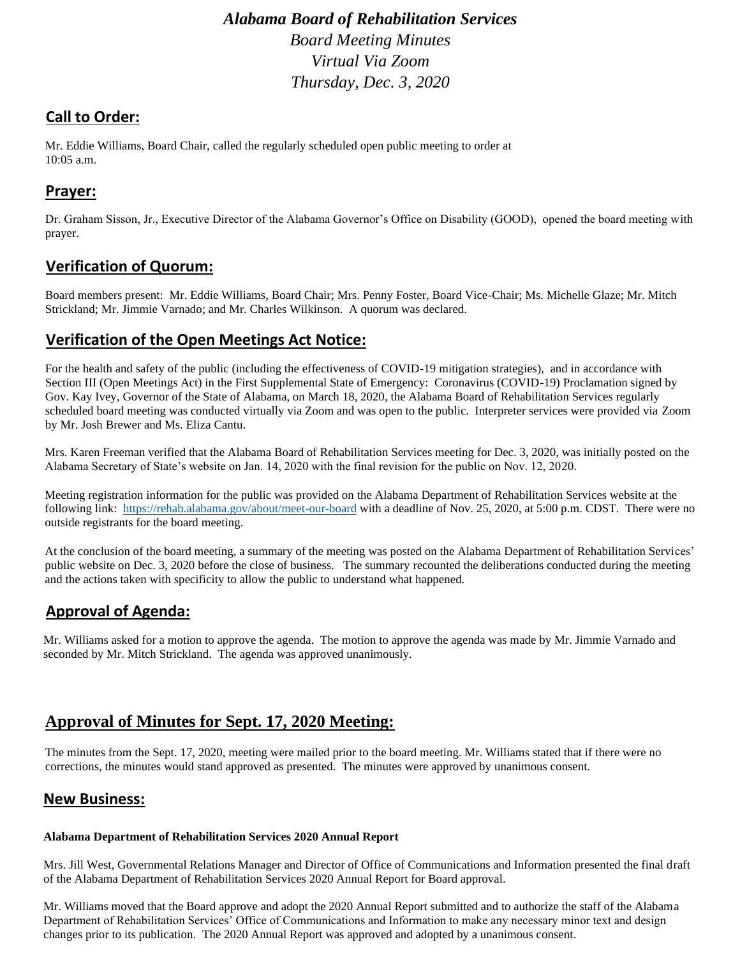*Alabama Board of Rehabilitation Services Board Meeting Minutes Virtual Via Zoom Thursday, Dec. 3, 2020* 

# **Call to Order:**

Mr. Eddie Williams, Board Chair, called the regularly scheduled open public meeting to order at 10:05 a.m.

# **Prayer:**

Dr. Graham Sisson, Jr., Executive Director of the Alabama Governor's Office on Disability (GOOD), opened the board meeting with prayer.

### **Verification of Quorum:**

Board members present: Mr. Eddie Williams, Board Chair; Mrs. Penny Foster, Board Vice-Chair; Ms. Michelle Glaze; Mr. Mitch Strickland; Mr. Jimmie Varnado; and Mr. Charles Wilkinson. A quorum was declared.

### **Verification of the Open Meetings Act Notice:**

For the health and safety of the public (including the effectiveness of COVID-19 mitigation strategies), and in accordance with Section III (Open Meetings Act) in the First Supplemental State of Emergency: Coronavirus (COVID-19) Proclamation signed by Gov. Kay Ivey, Governor of the State of Alabama, on March 18, 2020, the Alabama Board of Rehabilitation Services regularly scheduled board meeting was conducted virtually via Zoom and was open to the public. Interpreter services were provided via Zoom by Mr. Josh Brewer and Ms. Eliza Cantu.

Mrs. Karen Freeman verified that the Alabama Board of Rehabilitation Services meeting for Dec. 3, 2020, was initially posted on the Alabama Secretary of State's website on Jan. 14, 2020 with the final revision for the public on Nov. 12, 2020.

Meeting registration information for the public was provided on the Alabama Department of Rehabilitation Services website at the following link: <https://rehab.alabama.gov/about/meet-our-board> with a deadline of Nov. 25, 2020, at 5:00 p.m. CDST. There were no outside registrants for the board meeting.

At the conclusion of the board meeting, a summary of the meeting was posted on the Alabama Department of Rehabilitation Services' public website on Dec. 3, 2020 before the close of business. The summary recounted the deliberations conducted during the meeting and the actions taken with specificity to allow the public to understand what happened.

# **Approval of Agenda:**

Mr. Williams asked for a motion to approve the agenda. The motion to approve the agenda was made by Mr. Jimmie Varnado and seconded by Mr. Mitch Strickland. The agenda was approved unanimously.

# **Approval of Minutes for Sept. 17, 2020 Meeting:**

The minutes from the Sept. 17, 2020, meeting were mailed prior to the board meeting. Mr. Williams stated that if there were no corrections, the minutes would stand approved as presented. The minutes were approved by unanimous consent.

### **New Business:**

#### **Alabama Department of Rehabilitation Services 2020 Annual Report**

Mrs. Jill West, Governmental Relations Manager and Director of Office of Communications and Information presented the final draft of the Alabama Department of Rehabilitation Services 2020 Annual Report for Board approval.

Mr. Williams moved that the Board approve and adopt the 2020 Annual Report submitted and to authorize the staff of the Alabama Department of Rehabilitation Services' Office of Communications and Information to make any necessary minor text and design changes prior to its publication. The 2020 Annual Report was approved and adopted by a unanimous consent.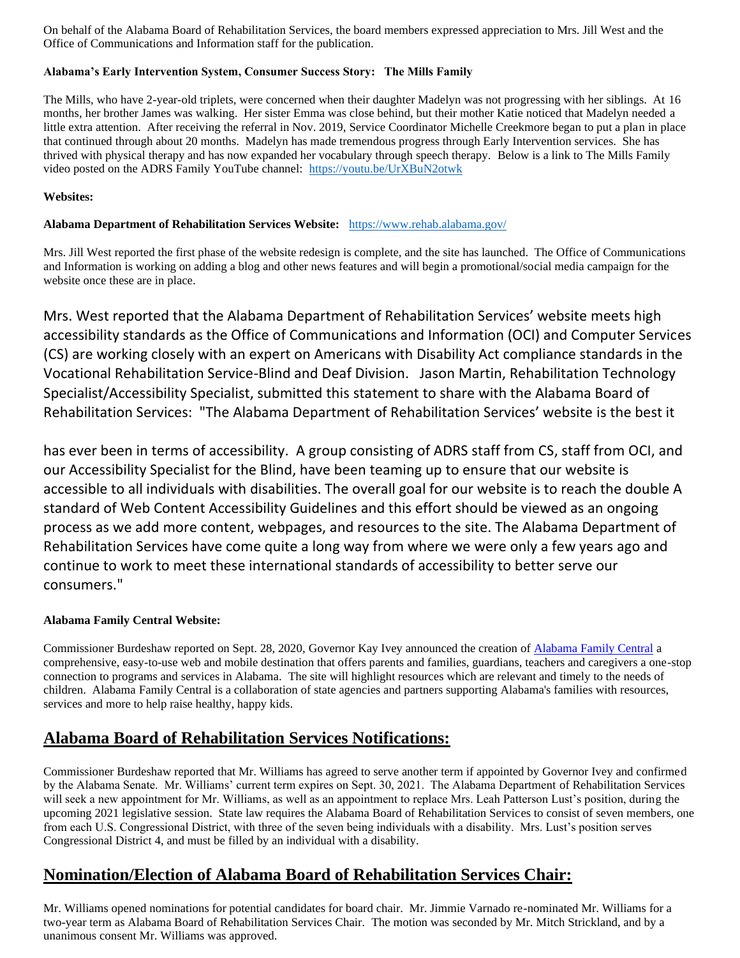On behalf of the Alabama Board of Rehabilitation Services, the board members expressed appreciation to Mrs. Jill West and the Office of Communications and Information staff for the publication.

### **Alabama's Early Intervention System, Consumer Success Story: The Mills Family**

The Mills, who have 2-year-old triplets, were concerned when their daughter Madelyn was not progressing with her siblings. At 16 months, her brother James was walking. Her sister Emma was close behind, but their mother Katie noticed that Madelyn needed a little extra attention. After receiving the referral in Nov. 2019, Service Coordinator Michelle Creekmore began to put a plan in place that continued through about 20 months. Madelyn has made tremendous progress through Early Intervention services. She has thrived with physical therapy and has now expanded her vocabulary through speech therapy. Below is a link to The Mills Family video posted on the ADRS Family YouTube channel:<https://youtu.be/UrXBuN2otwk>

#### **Websites:**

#### **Alabama Department of Rehabilitation Services Website:** <https://www.rehab.alabama.gov/>

Mrs. Jill West reported the first phase of the website redesign is complete, and the site has launched. The Office of Communications and Information is working on adding a blog and other news features and will begin a promotional/social media campaign for the website once these are in place.

Mrs. West reported that the Alabama Department of Rehabilitation Services' website meets high accessibility standards as the Office of Communications and Information (OCI) and Computer Services (CS) are working closely with an expert on Americans with Disability Act compliance standards in the Vocational Rehabilitation Service-Blind and Deaf Division. Jason Martin, Rehabilitation Technology Specialist/Accessibility Specialist, submitted this statement to share with the Alabama Board of Rehabilitation Services: "The Alabama Department of Rehabilitation Services' website is the best it

has ever been in terms of accessibility. A group consisting of ADRS staff from CS, staff from OCI, and our Accessibility Specialist for the Blind, have been teaming up to ensure that our website is accessible to all individuals with disabilities. The overall goal for our website is to reach the double A standard of Web Content Accessibility Guidelines and this effort should be viewed as an ongoing process as we add more content, webpages, and resources to the site. The Alabama Department of Rehabilitation Services have come quite a long way from where we were only a few years ago and continue to work to meet these international standards of accessibility to better serve our consumers."

### **Alabama Family Central Website:**

Commissioner Burdeshaw reported on Sept. 28, 2020, Governor Kay Ivey announced the creation o[f Alabama Family Central](https://alabamafamilycentral.org/) a comprehensive, easy-to-use web and mobile destination that offers parents and families, guardians, teachers and caregivers a one-stop connection to programs and services in Alabama. The site will highlight resources which are relevant and timely to the needs of children. Alabama Family Central is a collaboration of state agencies and partners supporting Alabama's families with resources, services and more to help raise healthy, happy kids.

# **Alabama Board of Rehabilitation Services Notifications:**

Commissioner Burdeshaw reported that Mr. Williams has agreed to serve another term if appointed by Governor Ivey and confirmed by the Alabama Senate. Mr. Williams' current term expires on Sept. 30, 2021. The Alabama Department of Rehabilitation Services will seek a new appointment for Mr. Williams, as well as an appointment to replace Mrs. Leah Patterson Lust's position, during the upcoming 2021 legislative session. State law requires the Alabama Board of Rehabilitation Services to consist of seven members, one from each U.S. Congressional District, with three of the seven being individuals with a disability. Mrs. Lust's position serves Congressional District 4, and must be filled by an individual with a disability.

### **Nomination/Election of Alabama Board of Rehabilitation Services Chair:**

Mr. Williams opened nominations for potential candidates for board chair. Mr. Jimmie Varnado re-nominated Mr. Williams for a two-year term as Alabama Board of Rehabilitation Services Chair. The motion was seconded by Mr. Mitch Strickland, and by a unanimous consent Mr. Williams was approved.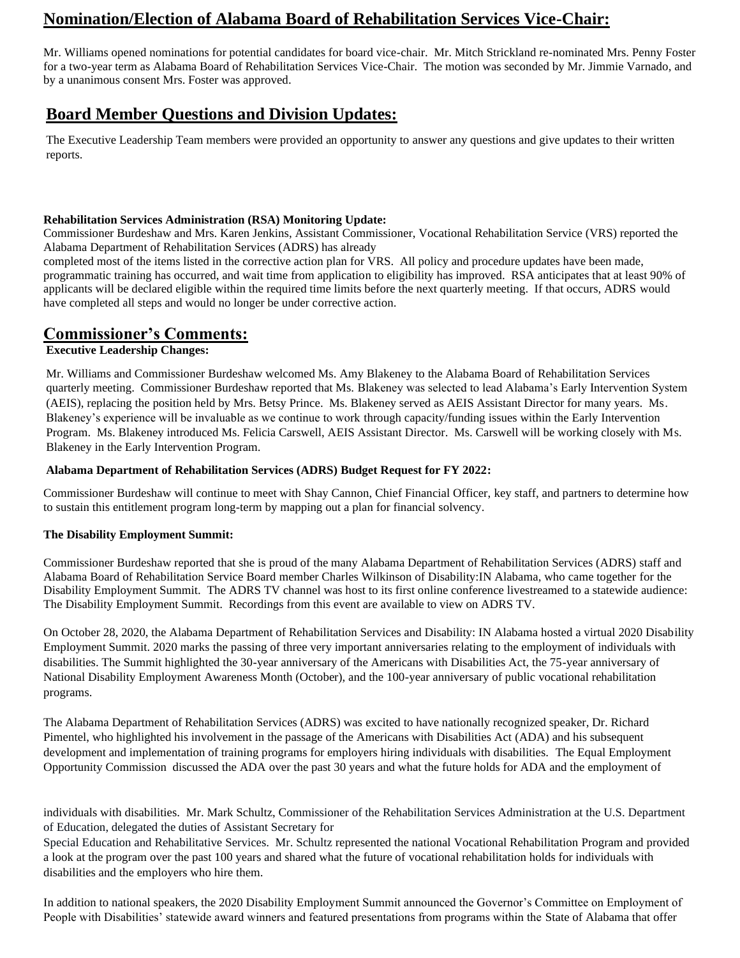# **Nomination/Election of Alabama Board of Rehabilitation Services Vice-Chair:**

Mr. Williams opened nominations for potential candidates for board vice-chair. Mr. Mitch Strickland re-nominated Mrs. Penny Foster for a two-year term as Alabama Board of Rehabilitation Services Vice-Chair. The motion was seconded by Mr. Jimmie Varnado, and by a unanimous consent Mrs. Foster was approved.

# **Board Member Questions and Division Updates:**

The Executive Leadership Team members were provided an opportunity to answer any questions and give updates to their written reports.

### **Rehabilitation Services Administration (RSA) Monitoring Update:**

Commissioner Burdeshaw and Mrs. Karen Jenkins, Assistant Commissioner, Vocational Rehabilitation Service (VRS) reported the Alabama Department of Rehabilitation Services (ADRS) has already

completed most of the items listed in the corrective action plan for VRS. All policy and procedure updates have been made, programmatic training has occurred, and wait time from application to eligibility has improved. RSA anticipates that at least 90% of applicants will be declared eligible within the required time limits before the next quarterly meeting. If that occurs, ADRS would have completed all steps and would no longer be under corrective action.

# **Commissioner's Comments:**

### **Executive Leadership Changes:**

Mr. Williams and Commissioner Burdeshaw welcomed Ms. Amy Blakeney to the Alabama Board of Rehabilitation Services quarterly meeting. Commissioner Burdeshaw reported that Ms. Blakeney was selected to lead Alabama's Early Intervention System (AEIS), replacing the position held by Mrs. Betsy Prince. Ms. Blakeney served as AEIS Assistant Director for many years. Ms. Blakeney's experience will be invaluable as we continue to work through capacity/funding issues within the Early Intervention Program. Ms. Blakeney introduced Ms. Felicia Carswell, AEIS Assistant Director. Ms. Carswell will be working closely with Ms. Blakeney in the Early Intervention Program.

### **Alabama Department of Rehabilitation Services (ADRS) Budget Request for FY 2022:**

Commissioner Burdeshaw will continue to meet with Shay Cannon, Chief Financial Officer, key staff, and partners to determine how to sustain this entitlement program long-term by mapping out a plan for financial solvency.

### **The Disability Employment Summit:**

Commissioner Burdeshaw reported that she is proud of the many Alabama Department of Rehabilitation Services (ADRS) staff and Alabama Board of Rehabilitation Service Board member Charles Wilkinson of Disability:IN Alabama, who came together for the Disability Employment Summit. The ADRS TV channel was host to its first online conference livestreamed to a statewide audience: The Disability Employment Summit. Recordings from this event are available to view on ADRS TV.

On October 28, 2020, the Alabama Department of Rehabilitation Services and Disability: IN Alabama hosted a virtual 2020 Disability Employment Summit. 2020 marks the passing of three very important anniversaries relating to the employment of individuals with disabilities. The Summit highlighted the 30-year anniversary of the Americans with Disabilities Act, the 75-year anniversary of National Disability Employment Awareness Month (October), and the 100-year anniversary of public vocational rehabilitation programs.

The Alabama Department of Rehabilitation Services (ADRS) was excited to have nationally recognized speaker, Dr. Richard Pimentel, who highlighted his involvement in the passage of the Americans with Disabilities Act (ADA) and his subsequent development and implementation of training programs for employers hiring individuals with disabilities. The Equal Employment Opportunity Commission discussed the ADA over the past 30 years and what the future holds for ADA and the employment of

individuals with disabilities. Mr. Mark Schultz, Commissioner of the Rehabilitation Services Administration at the U.S. Department of Education, delegated the duties of Assistant Secretary for

Special Education and Rehabilitative Services. Mr. Schultz represented the national Vocational Rehabilitation Program and provided a look at the program over the past 100 years and shared what the future of vocational rehabilitation holds for individuals with disabilities and the employers who hire them.

In addition to national speakers, the 2020 Disability Employment Summit announced the Governor's Committee on Employment of People with Disabilities' statewide award winners and featured presentations from programs within the State of Alabama that offer